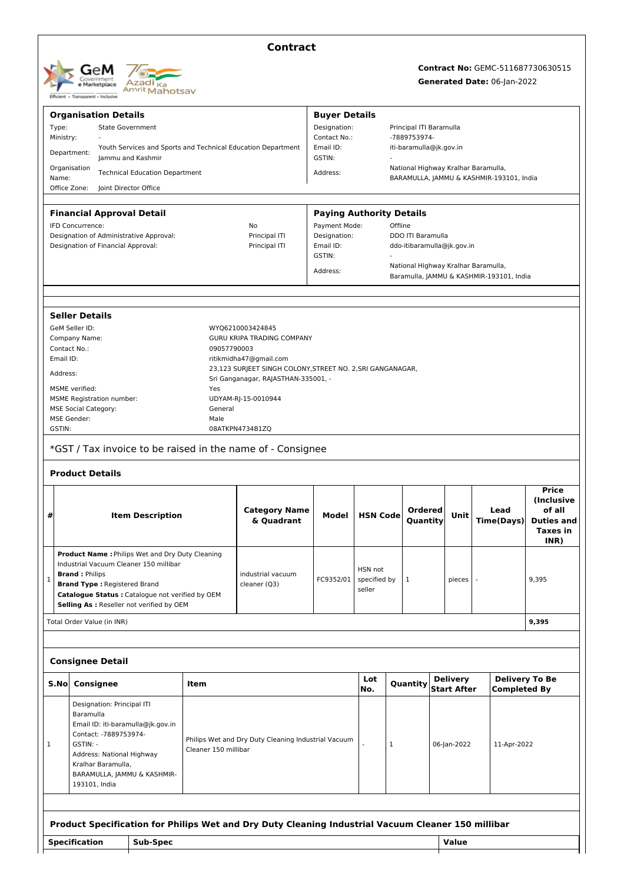| <b>GeM</b><br>Government<br>e Marketplace<br>Transparent - Inclusive<br><b>Efficient +</b> | Azadi <sub>Ka</sub><br><sup>Amrit</sup> Mahotsav |
|--------------------------------------------------------------------------------------------|--------------------------------------------------|
|--------------------------------------------------------------------------------------------|--------------------------------------------------|

## **Contract**

# **Contract No:** GEMC-511687730630515

### **Generated Date:** 06-Jan-2022

|                                                                               |                                                                                                  | <b>Organisation Details</b>                                                                        |                      |                                                            | <b>Buyer Details</b>            |                                          |                                                        |                         |                                       |  |                                          |                                      |  |  |
|-------------------------------------------------------------------------------|--------------------------------------------------------------------------------------------------|----------------------------------------------------------------------------------------------------|----------------------|------------------------------------------------------------|---------------------------------|------------------------------------------|--------------------------------------------------------|-------------------------|---------------------------------------|--|------------------------------------------|--------------------------------------|--|--|
| Type:                                                                         | <b>State Government</b>                                                                          |                                                                                                    |                      |                                                            |                                 |                                          |                                                        | Principal ITI Baramulla |                                       |  |                                          |                                      |  |  |
|                                                                               | Ministry:                                                                                        |                                                                                                    |                      | Contact No.:                                               |                                 |                                          | -7889753974-<br>iti-baramulla@jk.gov.in                |                         |                                       |  |                                          |                                      |  |  |
|                                                                               | Youth Services and Sports and Technical Education Department<br>Department:<br>Jammu and Kashmir |                                                                                                    |                      |                                                            | Email ID:<br>GSTIN:             |                                          |                                                        |                         |                                       |  |                                          |                                      |  |  |
|                                                                               | Organisation                                                                                     | <b>Technical Education Department</b>                                                              |                      |                                                            | Address:                        |                                          |                                                        |                         | National Highway Kralhar Baramulla,   |  |                                          |                                      |  |  |
| Name:<br>Office Zone:                                                         |                                                                                                  | Joint Director Office                                                                              |                      |                                                            |                                 |                                          | BARAMULLA, JAMMU & KASHMIR-193101, India               |                         |                                       |  |                                          |                                      |  |  |
|                                                                               |                                                                                                  |                                                                                                    |                      |                                                            |                                 |                                          |                                                        |                         |                                       |  |                                          |                                      |  |  |
|                                                                               |                                                                                                  | <b>Financial Approval Detail</b>                                                                   |                      |                                                            | <b>Paying Authority Details</b> |                                          |                                                        |                         |                                       |  |                                          |                                      |  |  |
| IFD Concurrence:                                                              |                                                                                                  |                                                                                                    |                      | No                                                         |                                 | Payment Mode:<br>Offline<br>Designation: |                                                        |                         |                                       |  |                                          |                                      |  |  |
| Designation of Administrative Approval:<br>Designation of Financial Approval: |                                                                                                  |                                                                                                    |                      | Principal ITI<br>Principal ITI<br>Email ID:                |                                 |                                          | <b>DDO ITI Baramulla</b><br>ddo-itibaramulla@jk.gov.in |                         |                                       |  |                                          |                                      |  |  |
|                                                                               |                                                                                                  |                                                                                                    |                      |                                                            | GSTIN:                          |                                          |                                                        |                         |                                       |  |                                          |                                      |  |  |
|                                                                               |                                                                                                  |                                                                                                    |                      |                                                            | Address:                        |                                          |                                                        |                         | National Highway Kralhar Baramulla,   |  | Baramulla, JAMMU & KASHMIR-193101, India |                                      |  |  |
|                                                                               |                                                                                                  |                                                                                                    |                      |                                                            |                                 |                                          |                                                        |                         |                                       |  |                                          |                                      |  |  |
|                                                                               | <b>Seller Details</b>                                                                            |                                                                                                    |                      |                                                            |                                 |                                          |                                                        |                         |                                       |  |                                          |                                      |  |  |
|                                                                               | GeM Seller ID:                                                                                   |                                                                                                    |                      | WYQ6210003424845                                           |                                 |                                          |                                                        |                         |                                       |  |                                          |                                      |  |  |
| Contact No.:                                                                  | Company Name:                                                                                    |                                                                                                    | 09057790003          | GURU KRIPA TRADING COMPANY                                 |                                 |                                          |                                                        |                         |                                       |  |                                          |                                      |  |  |
| Email ID:                                                                     |                                                                                                  |                                                                                                    |                      | ritikmidha47@gmail.com                                     |                                 |                                          |                                                        |                         |                                       |  |                                          |                                      |  |  |
| Address:                                                                      |                                                                                                  |                                                                                                    |                      | 23,123 SURJEET SINGH COLONY, STREET NO. 2, SRI GANGANAGAR, |                                 |                                          |                                                        |                         |                                       |  |                                          |                                      |  |  |
|                                                                               |                                                                                                  |                                                                                                    |                      | Sri Ganganagar, RAJASTHAN-335001, -                        |                                 |                                          |                                                        |                         |                                       |  |                                          |                                      |  |  |
|                                                                               | MSME verified:                                                                                   | <b>MSME Registration number:</b>                                                                   | Yes                  | UDYAM-RJ-15-0010944                                        |                                 |                                          |                                                        |                         |                                       |  |                                          |                                      |  |  |
|                                                                               | <b>MSE Social Category:</b>                                                                      |                                                                                                    | General              |                                                            |                                 |                                          |                                                        |                         |                                       |  |                                          |                                      |  |  |
|                                                                               | <b>MSE Gender:</b>                                                                               |                                                                                                    | Male                 |                                                            |                                 |                                          |                                                        |                         |                                       |  |                                          |                                      |  |  |
| GSTIN:                                                                        |                                                                                                  |                                                                                                    |                      | 08ATKPN4734B1ZQ                                            |                                 |                                          |                                                        |                         |                                       |  |                                          |                                      |  |  |
|                                                                               |                                                                                                  | *GST / Tax invoice to be raised in the name of - Consignee                                         |                      |                                                            |                                 |                                          |                                                        |                         |                                       |  |                                          |                                      |  |  |
|                                                                               |                                                                                                  |                                                                                                    |                      |                                                            |                                 |                                          |                                                        |                         |                                       |  |                                          |                                      |  |  |
|                                                                               | <b>Product Details</b>                                                                           |                                                                                                    |                      |                                                            |                                 |                                          |                                                        |                         |                                       |  |                                          |                                      |  |  |
|                                                                               |                                                                                                  |                                                                                                    |                      |                                                            |                                 |                                          |                                                        |                         |                                       |  |                                          |                                      |  |  |
|                                                                               |                                                                                                  |                                                                                                    |                      |                                                            |                                 |                                          |                                                        |                         |                                       |  |                                          |                                      |  |  |
|                                                                               |                                                                                                  |                                                                                                    |                      |                                                            |                                 |                                          |                                                        |                         |                                       |  |                                          | <b>Price</b>                         |  |  |
|                                                                               |                                                                                                  |                                                                                                    |                      |                                                            |                                 |                                          |                                                        |                         |                                       |  |                                          | (Inclusive                           |  |  |
| #                                                                             |                                                                                                  | <b>Item Description</b>                                                                            |                      | <b>Category Name</b>                                       | Model                           | <b>HSN Code</b>                          |                                                        | Ordered                 | Unit                                  |  | Lead                                     | of all                               |  |  |
|                                                                               |                                                                                                  |                                                                                                    |                      | & Quadrant                                                 |                                 |                                          |                                                        | Quantity                |                                       |  | <b>Time(Days)</b>                        | <b>Duties and</b><br><b>Taxes in</b> |  |  |
|                                                                               |                                                                                                  |                                                                                                    |                      |                                                            |                                 |                                          |                                                        |                         |                                       |  |                                          | INR)                                 |  |  |
|                                                                               |                                                                                                  | <b>Product Name: Philips Wet and Dry Duty Cleaning</b>                                             |                      |                                                            |                                 |                                          |                                                        |                         |                                       |  |                                          |                                      |  |  |
|                                                                               |                                                                                                  | Industrial Vacuum Cleaner 150 millibar                                                             |                      |                                                            |                                 |                                          |                                                        |                         |                                       |  |                                          |                                      |  |  |
| 1                                                                             | <b>Brand: Philips</b>                                                                            |                                                                                                    |                      | industrial vacuum                                          | FC9352/01                       | HSN not                                  |                                                        | 1                       | pieces                                |  |                                          | 9,395                                |  |  |
|                                                                               |                                                                                                  | <b>Brand Type: Registered Brand</b>                                                                |                      | cleaner (Q3)                                               |                                 | specified by<br>seller                   |                                                        |                         |                                       |  |                                          |                                      |  |  |
|                                                                               |                                                                                                  | Catalogue Status : Catalogue not verified by OEM                                                   |                      |                                                            |                                 |                                          |                                                        |                         |                                       |  |                                          |                                      |  |  |
|                                                                               |                                                                                                  | Selling As : Reseller not verified by OEM                                                          |                      |                                                            |                                 |                                          |                                                        |                         |                                       |  |                                          |                                      |  |  |
|                                                                               |                                                                                                  | Total Order Value (in INR)                                                                         |                      |                                                            |                                 |                                          |                                                        |                         |                                       |  |                                          | 9,395                                |  |  |
|                                                                               |                                                                                                  |                                                                                                    |                      |                                                            |                                 |                                          |                                                        |                         |                                       |  |                                          |                                      |  |  |
|                                                                               |                                                                                                  | <b>Consignee Detail</b>                                                                            |                      |                                                            |                                 |                                          |                                                        |                         |                                       |  |                                          |                                      |  |  |
| S.No                                                                          | Consignee                                                                                        |                                                                                                    | Item                 |                                                            |                                 | Lot<br>No.                               |                                                        | Quantity                | <b>Delivery</b><br><b>Start After</b> |  | <b>Completed By</b>                      | <b>Delivery To Be</b>                |  |  |
|                                                                               |                                                                                                  | Designation: Principal ITI                                                                         |                      |                                                            |                                 |                                          |                                                        |                         |                                       |  |                                          |                                      |  |  |
|                                                                               | Baramulla                                                                                        |                                                                                                    |                      |                                                            |                                 |                                          |                                                        |                         |                                       |  |                                          |                                      |  |  |
|                                                                               |                                                                                                  | Email ID: iti-baramulla@jk.gov.in                                                                  |                      |                                                            |                                 |                                          |                                                        |                         |                                       |  |                                          |                                      |  |  |
|                                                                               |                                                                                                  | Contact: -7889753974-                                                                              |                      | Philips Wet and Dry Duty Cleaning Industrial Vacuum        |                                 |                                          |                                                        |                         |                                       |  |                                          |                                      |  |  |
| 1                                                                             | GSTIN: -                                                                                         |                                                                                                    | Cleaner 150 millibar |                                                            |                                 |                                          | 1                                                      |                         | 06-Jan-2022                           |  | 11-Apr-2022                              |                                      |  |  |
|                                                                               |                                                                                                  | Address: National Highway                                                                          |                      |                                                            |                                 |                                          |                                                        |                         |                                       |  |                                          |                                      |  |  |
|                                                                               |                                                                                                  | Kralhar Baramulla,<br>BARAMULLA, JAMMU & KASHMIR-                                                  |                      |                                                            |                                 |                                          |                                                        |                         |                                       |  |                                          |                                      |  |  |
|                                                                               | 193101, India                                                                                    |                                                                                                    |                      |                                                            |                                 |                                          |                                                        |                         |                                       |  |                                          |                                      |  |  |
|                                                                               |                                                                                                  |                                                                                                    |                      |                                                            |                                 |                                          |                                                        |                         |                                       |  |                                          |                                      |  |  |
|                                                                               |                                                                                                  | Product Specification for Philips Wet and Dry Duty Cleaning Industrial Vacuum Cleaner 150 millibar |                      |                                                            |                                 |                                          |                                                        |                         |                                       |  |                                          |                                      |  |  |
|                                                                               | <b>Specification</b>                                                                             | Sub-Spec                                                                                           |                      |                                                            |                                 |                                          |                                                        |                         | Value                                 |  |                                          |                                      |  |  |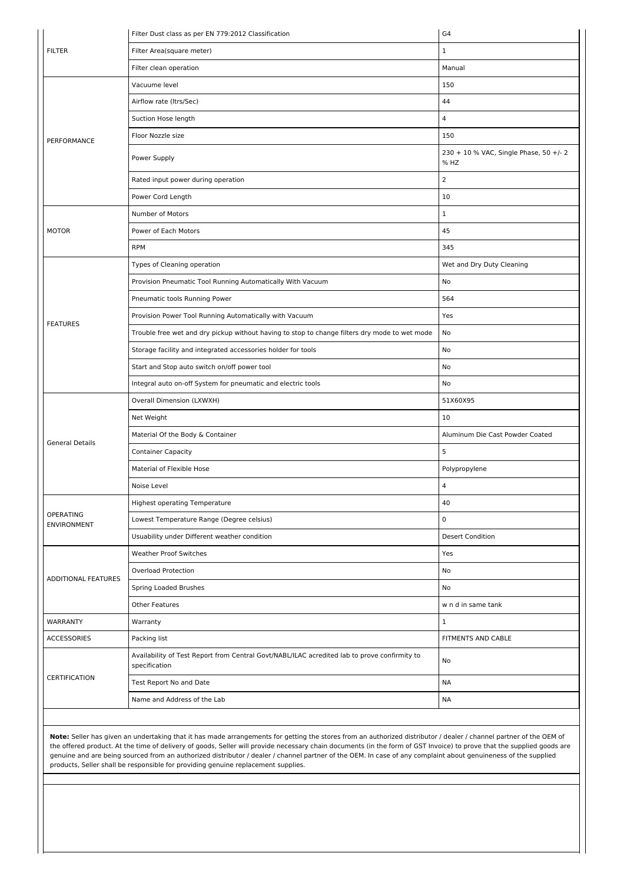|                                 | Filter Dust class as per EN 779:2012 Classification                                                           | G4                                             |  |  |  |
|---------------------------------|---------------------------------------------------------------------------------------------------------------|------------------------------------------------|--|--|--|
| <b>FILTER</b>                   | Filter Area(square meter)                                                                                     | $\mathbf 1$                                    |  |  |  |
|                                 | Filter clean operation                                                                                        | Manual                                         |  |  |  |
|                                 | Vacuume level                                                                                                 | 150                                            |  |  |  |
|                                 | Airflow rate (Itrs/Sec)                                                                                       | 44                                             |  |  |  |
|                                 | Suction Hose length                                                                                           | $\overline{4}$                                 |  |  |  |
| PERFORMANCE                     | Floor Nozzle size                                                                                             | 150                                            |  |  |  |
|                                 | Power Supply                                                                                                  | 230 + 10 % VAC, Single Phase, 50 +/- 2<br>% HZ |  |  |  |
|                                 | Rated input power during operation                                                                            | $\overline{2}$                                 |  |  |  |
|                                 | Power Cord Length                                                                                             | 10                                             |  |  |  |
|                                 | Number of Motors                                                                                              | $\mathbf 1$                                    |  |  |  |
| <b>MOTOR</b>                    | Power of Each Motors                                                                                          | 45                                             |  |  |  |
|                                 | <b>RPM</b>                                                                                                    | 345                                            |  |  |  |
|                                 | Types of Cleaning operation                                                                                   | Wet and Dry Duty Cleaning                      |  |  |  |
|                                 | Provision Pneumatic Tool Running Automatically With Vacuum                                                    | No                                             |  |  |  |
|                                 | Pneumatic tools Running Power                                                                                 | 564                                            |  |  |  |
| <b>FEATURES</b>                 | Provision Power Tool Running Automatically with Vacuum                                                        | Yes                                            |  |  |  |
|                                 | Trouble free wet and dry pickup without having to stop to change filters dry mode to wet mode                 | No                                             |  |  |  |
|                                 | Storage facility and integrated accessories holder for tools                                                  | No                                             |  |  |  |
|                                 | Start and Stop auto switch on/off power tool                                                                  | No                                             |  |  |  |
|                                 | Integral auto on-off System for pneumatic and electric tools                                                  | No                                             |  |  |  |
|                                 | Overall Dimension (LXWXH)                                                                                     | 51X60X95                                       |  |  |  |
|                                 | Net Weight                                                                                                    | 10                                             |  |  |  |
| <b>General Details</b>          | Material Of the Body & Container                                                                              | Aluminum Die Cast Powder Coated                |  |  |  |
|                                 | <b>Container Capacity</b>                                                                                     | 5                                              |  |  |  |
|                                 | Material of Flexible Hose                                                                                     | Polypropylene                                  |  |  |  |
|                                 | Noise Level                                                                                                   | 4                                              |  |  |  |
|                                 | <b>Highest operating Temperature</b>                                                                          | 40                                             |  |  |  |
| OPERATING<br><b>ENVIRONMENT</b> | Lowest Temperature Range (Degree celsius)                                                                     | $\pmb{0}$                                      |  |  |  |
|                                 | Usuability under Different weather condition                                                                  | <b>Desert Condition</b>                        |  |  |  |
|                                 | <b>Weather Proof Switches</b>                                                                                 | Yes                                            |  |  |  |
| <b>ADDITIONAL FEATURES</b>      | <b>Overload Protection</b>                                                                                    | No                                             |  |  |  |
|                                 | Spring Loaded Brushes                                                                                         | No                                             |  |  |  |
|                                 | Other Features                                                                                                | w n d in same tank                             |  |  |  |
| WARRANTY                        | Warranty                                                                                                      | $\mathbf 1$                                    |  |  |  |
| <b>ACCESSORIES</b>              | Packing list                                                                                                  | FITMENTS AND CABLE                             |  |  |  |
|                                 | Availability of Test Report from Central Govt/NABL/ILAC acredited lab to prove confirmity to<br>specification | No                                             |  |  |  |
| CERTIFICATION                   | Test Report No and Date                                                                                       | <b>NA</b>                                      |  |  |  |
|                                 | Name and Address of the Lab                                                                                   | <b>NA</b>                                      |  |  |  |
|                                 |                                                                                                               |                                                |  |  |  |

**Note:** Seller has given an undertaking that it has made arrangements for getting the stores from an authorized distributor / dealer / channel partner of the OEM of the offered product. At the time of delivery of goods, Seller will provide necessary chain documents (in the form of GST Invoice) to prove that the supplied goods are genuine and are being sourced from an authorized distributor / dealer / channel partner of the OEM. In case of any complaint about genuineness of the supplied products, Seller shall be responsible for providing genuine replacement supplies.